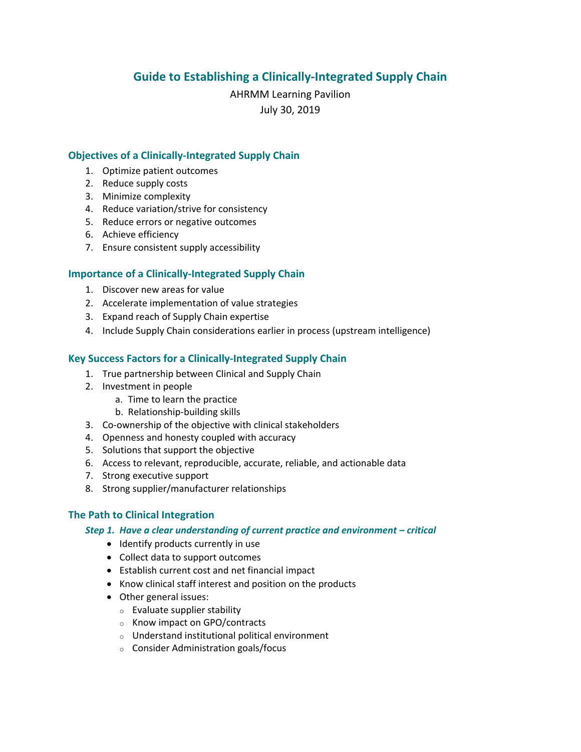# **Guide to Establishing a Clinically-Integrated Supply Chain**

AHRMM Learning Pavilion July 30, 2019

### **Objectives of a Clinically-Integrated Supply Chain**

- 1. Optimize patient outcomes
- 2. Reduce supply costs
- 3. Minimize complexity
- 4. Reduce variation/strive for consistency
- 5. Reduce errors or negative outcomes
- 6. Achieve efficiency
- 7. Ensure consistent supply accessibility

## **Importance of a Clinically-Integrated Supply Chain**

- 1. Discover new areas for value
- 2. Accelerate implementation of value strategies
- 3. Expand reach of Supply Chain expertise
- 4. Include Supply Chain considerations earlier in process (upstream intelligence)

## **Key Success Factors for a Clinically-Integrated Supply Chain**

- 1. True partnership between Clinical and Supply Chain
- 2. Investment in people
	- a. Time to learn the practice
	- b. Relationship-building skills
- 3. Co-ownership of the objective with clinical stakeholders
- 4. Openness and honesty coupled with accuracy
- 5. Solutions that support the objective
- 6. Access to relevant, reproducible, accurate, reliable, and actionable data
- 7. Strong executive support
- 8. Strong supplier/manufacturer relationships

### **The Path to Clinical Integration**

### *Step 1. Have a clear understanding of current practice and environment – critical*

- Identify products currently in use
- Collect data to support outcomes
- Establish current cost and net financial impact
- Know clinical staff interest and position on the products
- Other general issues:
	- o Evaluate supplier stability
	- o Know impact on GPO/contracts
	- o Understand institutional political environment
	- o Consider Administration goals/focus